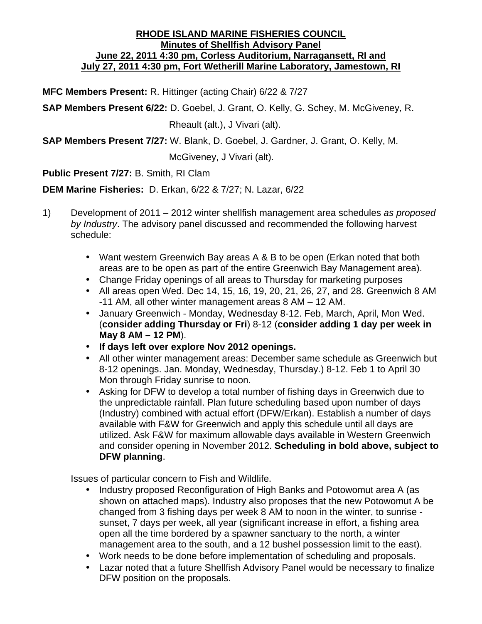# **RHODE ISLAND MARINE FISHERIES COUNCIL Minutes of Shellfish Advisory Panel June 22, 2011 4:30 pm, Corless Auditorium, Narragansett, RI and July 27, 2011 4:30 pm, Fort Wetherill Marine Laboratory, Jamestown, RI**

**MFC Members Present:** R. Hittinger (acting Chair) 6/22 & 7/27

**SAP Members Present 6/22:** D. Goebel, J. Grant, O. Kelly, G. Schey, M. McGiveney, R.

Rheault (alt.), J Vivari (alt).

**SAP Members Present 7/27:** W. Blank, D. Goebel, J. Gardner, J. Grant, O. Kelly, M.

McGiveney, J Vivari (alt).

**Public Present 7/27:** B. Smith, RI Clam

**DEM Marine Fisheries:** D. Erkan, 6/22 & 7/27; N. Lazar, 6/22

- 1) Development of 2011 2012 winter shellfish management area schedules *as proposed by Industry*. The advisory panel discussed and recommended the following harvest schedule:
	- Want western Greenwich Bay areas A & B to be open (Erkan noted that both areas are to be open as part of the entire Greenwich Bay Management area).
	- Change Friday openings of all areas to Thursday for marketing purposes
	- All areas open Wed. Dec 14, 15, 16, 19, 20, 21, 26, 27, and 28. Greenwich 8 AM -11 AM, all other winter management areas 8 AM – 12 AM.
	- January Greenwich Monday, Wednesday 8-12. Feb, March, April, Mon Wed. (**consider adding Thursday or Fri**) 8-12 (**consider adding 1 day per week in May 8 AM – 12 PM**).
	- **If days left over explore Nov 2012 openings.**
	- All other winter management areas: December same schedule as Greenwich but 8-12 openings. Jan. Monday, Wednesday, Thursday.) 8-12. Feb 1 to April 30 Mon through Friday sunrise to noon.
	- Asking for DFW to develop a total number of fishing days in Greenwich due to the unpredictable rainfall. Plan future scheduling based upon number of days (Industry) combined with actual effort (DFW/Erkan). Establish a number of days available with F&W for Greenwich and apply this schedule until all days are utilized. Ask F&W for maximum allowable days available in Western Greenwich and consider opening in November 2012. **Scheduling in bold above, subject to DFW planning**.

Issues of particular concern to Fish and Wildlife.

- Industry proposed Reconfiguration of High Banks and Potowomut area A (as shown on attached maps). Industry also proposes that the new Potowomut A be changed from 3 fishing days per week 8 AM to noon in the winter, to sunrise sunset, 7 days per week, all year (significant increase in effort, a fishing area open all the time bordered by a spawner sanctuary to the north, a winter management area to the south, and a 12 bushel possession limit to the east).
- Work needs to be done before implementation of scheduling and proposals.
- Lazar noted that a future Shellfish Advisory Panel would be necessary to finalize DFW position on the proposals.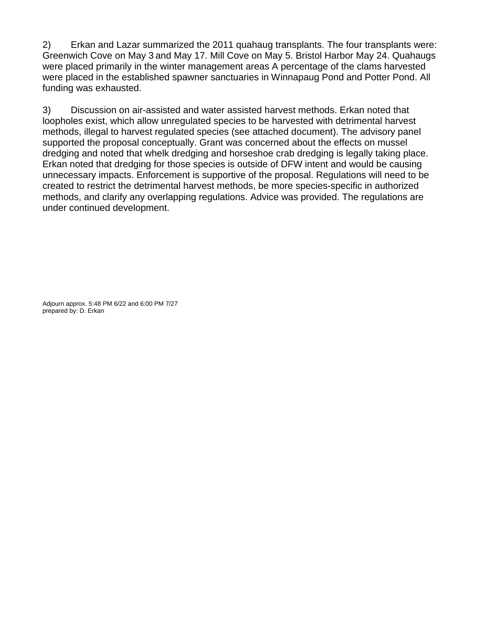2) Erkan and Lazar summarized the 2011 quahaug transplants. The four transplants were: Greenwich Cove on May 3 and May 17. Mill Cove on May 5. Bristol Harbor May 24. Quahaugs were placed primarily in the winter management areas A percentage of the clams harvested were placed in the established spawner sanctuaries in Winnapaug Pond and Potter Pond. All funding was exhausted.

3) Discussion on air-assisted and water assisted harvest methods. Erkan noted that loopholes exist, which allow unregulated species to be harvested with detrimental harvest methods, illegal to harvest regulated species (see attached document). The advisory panel supported the proposal conceptually. Grant was concerned about the effects on mussel dredging and noted that whelk dredging and horseshoe crab dredging is legally taking place. Erkan noted that dredging for those species is outside of DFW intent and would be causing unnecessary impacts. Enforcement is supportive of the proposal. Regulations will need to be created to restrict the detrimental harvest methods, be more species-specific in authorized methods, and clarify any overlapping regulations. Advice was provided. The regulations are under continued development.

Adjourn approx. 5:48 PM 6/22 and 6:00 PM 7/27 prepared by: D. Erkan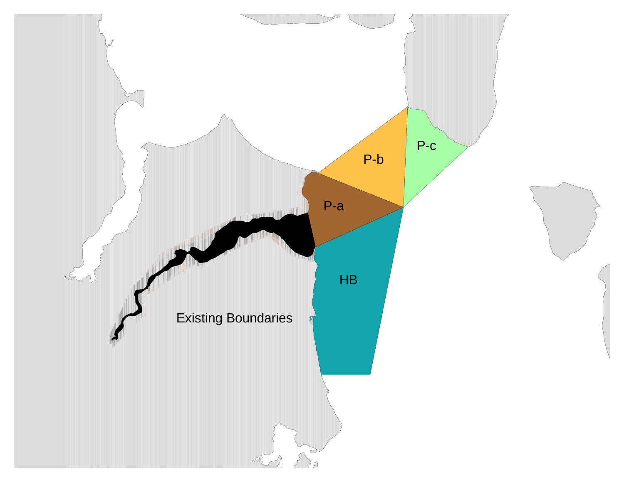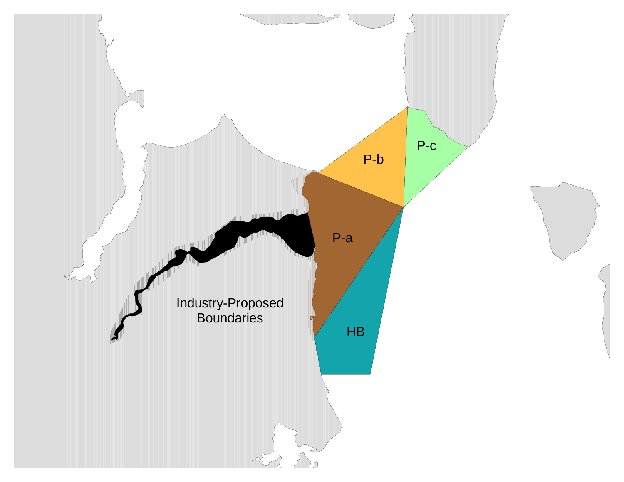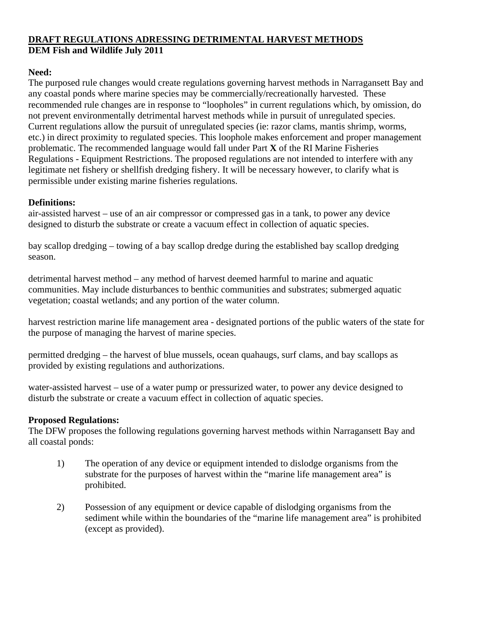# **DRAFT REGULATIONS ADRESSING DETRIMENTAL HARVEST METHODS DEM Fish and Wildlife July 2011**

# **Need:**

The purposed rule changes would create regulations governing harvest methods in Narragansett Bay and any coastal ponds where marine species may be commercially/recreationally harvested. These recommended rule changes are in response to "loopholes" in current regulations which, by omission, do not prevent environmentally detrimental harvest methods while in pursuit of unregulated species. Current regulations allow the pursuit of unregulated species (ie: razor clams, mantis shrimp, worms, etc.) in direct proximity to regulated species. This loophole makes enforcement and proper management problematic. The recommended language would fall under Part **X** of the RI Marine Fisheries Regulations - Equipment Restrictions. The proposed regulations are not intended to interfere with any legitimate net fishery or shellfish dredging fishery. It will be necessary however, to clarify what is permissible under existing marine fisheries regulations.

## **Definitions:**

air-assisted harvest – use of an air compressor or compressed gas in a tank, to power any device designed to disturb the substrate or create a vacuum effect in collection of aquatic species.

bay scallop dredging – towing of a bay scallop dredge during the established bay scallop dredging season.

detrimental harvest method – any method of harvest deemed harmful to marine and aquatic communities. May include disturbances to benthic communities and substrates; submerged aquatic vegetation; coastal wetlands; and any portion of the water column.

harvest restriction marine life management area - designated portions of the public waters of the state for the purpose of managing the harvest of marine species.

permitted dredging – the harvest of blue mussels, ocean quahaugs, surf clams, and bay scallops as provided by existing regulations and authorizations.

water-assisted harvest – use of a water pump or pressurized water, to power any device designed to disturb the substrate or create a vacuum effect in collection of aquatic species.

### **Proposed Regulations:**

The DFW proposes the following regulations governing harvest methods within Narragansett Bay and all coastal ponds:

- 1) The operation of any device or equipment intended to dislodge organisms from the substrate for the purposes of harvest within the "marine life management area" is prohibited.
- 2) Possession of any equipment or device capable of dislodging organisms from the sediment while within the boundaries of the "marine life management area" is prohibited (except as provided).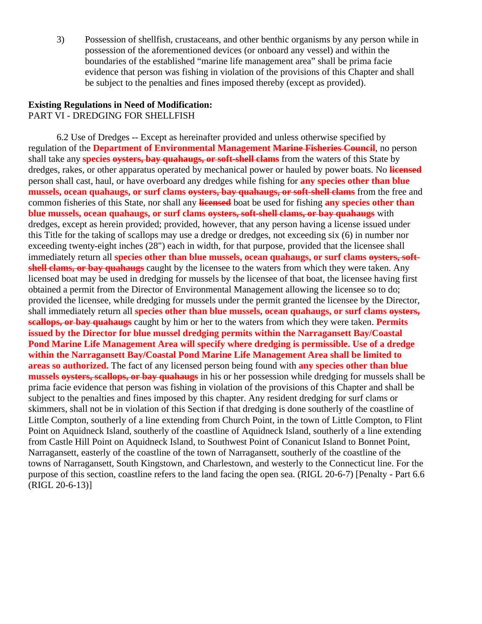3) Possession of shellfish, crustaceans, and other benthic organisms by any person while in possession of the aforementioned devices (or onboard any vessel) and within the boundaries of the established "marine life management area" shall be prima facie evidence that person was fishing in violation of the provisions of this Chapter and shall be subject to the penalties and fines imposed thereby (except as provided).

### **Existing Regulations in Need of Modification:** PART VI - DREDGING FOR SHELLFISH

6.2 Use of Dredges -- Except as hereinafter provided and unless otherwise specified by regulation of the **Department of Environmental Management Marine Fisheries Council**, no person shall take any **species oysters, bay quahaugs, or soft-shell clams** from the waters of this State by dredges, rakes, or other apparatus operated by mechanical power or hauled by power boats. No **licensed** person shall cast, haul, or have overboard any dredges while fishing for **any species other than blue mussels, ocean quahaugs, or surf clams oysters, bay quahaugs, or soft-shell clams** from the free and common fisheries of this State, nor shall any **licensed** boat be used for fishing **any species other than blue mussels, ocean quahaugs, or surf clams oysters, soft-shell clams, or bay quahaugs** with dredges, except as herein provided; provided, however, that any person having a license issued under this Title for the taking of scallops may use a dredge or dredges, not exceeding six (6) in number nor exceeding twenty-eight inches (28") each in width, for that purpose, provided that the licensee shall immediately return all **species other than blue mussels, ocean quahaugs, or surf clams overters, softshell clams, or bay quahaugs** caught by the licensee to the waters from which they were taken. Any licensed boat may be used in dredging for mussels by the licensee of that boat, the licensee having first obtained a permit from the Director of Environmental Management allowing the licensee so to do; provided the licensee, while dredging for mussels under the permit granted the licensee by the Director, shall immediately return all **species other than blue mussels, ocean quahaugs, or surf clams oysters, scallops, or bay quahaugs** caught by him or her to the waters from which they were taken. **Permits issued by the Director for blue mussel dredging permits within the Narragansett Bay/Coastal Pond Marine Life Management Area will specify where dredging is permissible. Use of a dredge within the Narragansett Bay/Coastal Pond Marine Life Management Area shall be limited to areas so authorized.** The fact of any licensed person being found with **any species other than blue mussels oysters, scallops, or bay quahaugs** in his or her possession while dredging for mussels shall be prima facie evidence that person was fishing in violation of the provisions of this Chapter and shall be subject to the penalties and fines imposed by this chapter. Any resident dredging for surf clams or skimmers, shall not be in violation of this Section if that dredging is done southerly of the coastline of Little Compton, southerly of a line extending from Church Point, in the town of Little Compton, to Flint Point on Aquidneck Island, southerly of the coastline of Aquidneck Island, southerly of a line extending from Castle Hill Point on Aquidneck Island, to Southwest Point of Conanicut Island to Bonnet Point, Narragansett, easterly of the coastline of the town of Narragansett, southerly of the coastline of the towns of Narragansett, South Kingstown, and Charlestown, and westerly to the Connecticut line. For the purpose of this section, coastline refers to the land facing the open sea. (RIGL 20-6-7) [Penalty - Part 6.6 (RIGL 20-6-13)]